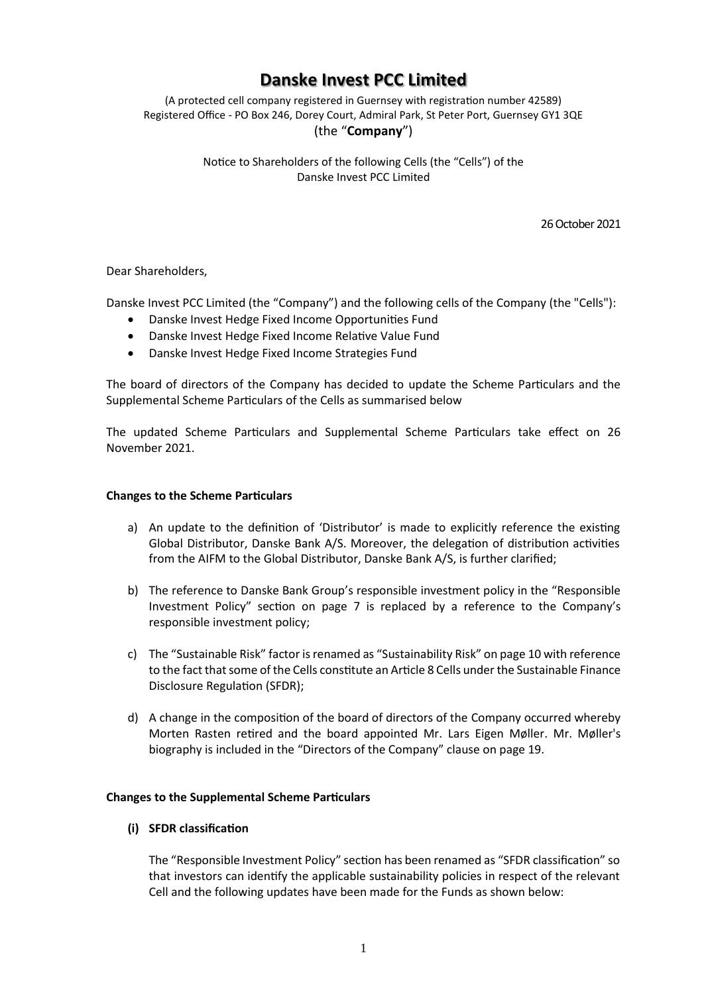# **Danske Invest PCC Limited**

(A protected cell company registered in Guernsey with registration number 42589) Registered Office - PO Box 246, Dorey Court, Admiral Park, St Peter Port, Guernsey GY1 3QE (the "**Company**")

### Notice to Shareholders of the following Cells (the "Cells") of the Danske Invest PCC Limited

26 October 2021

Dear Shareholders,

Danske Invest PCC Limited (the "Company") and the following cells of the Company (the "Cells"):

- Danske Invest Hedge Fixed Income Opportunities Fund
- Danske Invest Hedge Fixed Income Relative Value Fund
- Danske Invest Hedge Fixed Income Strategies Fund

The board of directors of the Company has decided to update the Scheme Particulars and the Supplemental Scheme Particulars of the Cells as summarised below

The updated Scheme Particulars and Supplemental Scheme Particulars take effect on 26 November 2021.

## **Changes to the Scheme Particulars**

- a) An update to the definition of 'Distributor' is made to explicitly reference the existing Global Distributor, Danske Bank A/S. Moreover, the delegation of distribution activities from the AIFM to the Global Distributor, Danske Bank A/S, is further clarified;
- b) The reference to Danske Bank Group's responsible investment policy in the "Responsible Investment Policy" section on page 7 is replaced by a reference to the Company's responsible investment policy;
- c) The "Sustainable Risk" factor is renamed as "Sustainability Risk" on page 10 with reference to the fact that some of the Cells constitute an Article 8 Cells under the Sustainable Finance Disclosure Regulation (SFDR);
- d) A change in the composition of the board of directors of the Company occurred whereby Morten Rasten retired and the board appointed Mr. Lars Eigen Møller. Mr. Møller's biography is included in the "Directors of the Company" clause on page 19.

## **Changes to the Supplemental Scheme Particulars**

## **(i) SFDR classification**

The "Responsible Investment Policy" section has been renamed as "SFDR classification" so that investors can identify the applicable sustainability policies in respect of the relevant Cell and the following updates have been made for the Funds as shown below: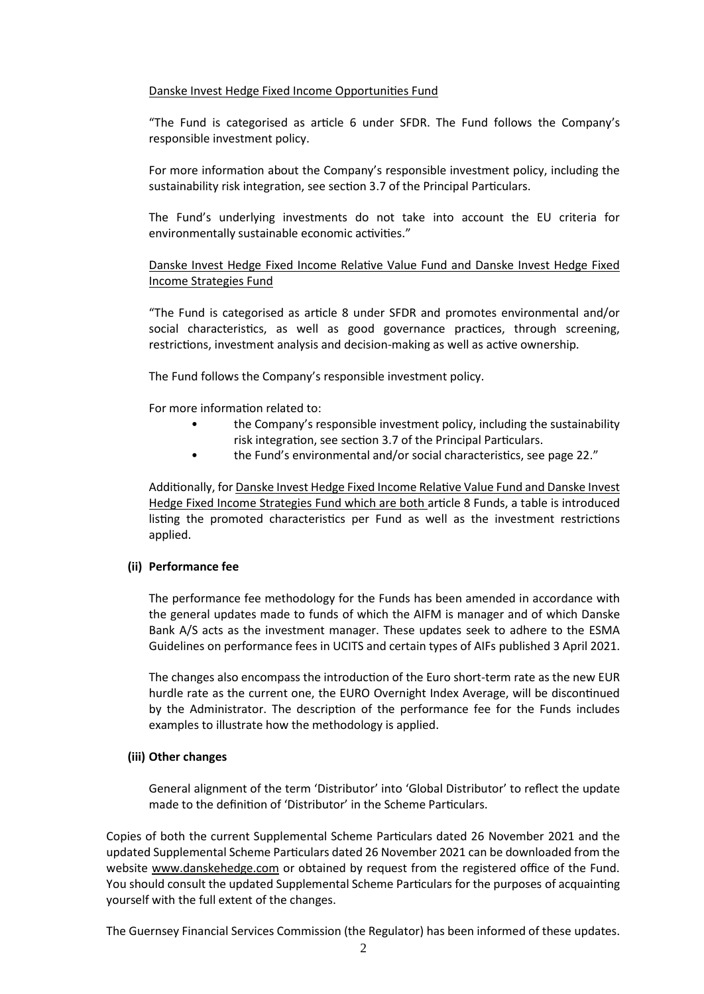### Danske Invest Hedge Fixed Income Opportunities Fund

"The Fund is categorised as article 6 under SFDR. The Fund follows the Company's responsible investment policy.

For more information about the Company's responsible investment policy, including the sustainability risk integration, see section 3.7 of the Principal Particulars.

The Fund's underlying investments do not take into account the EU criteria for environmentally sustainable economic activities."

Danske Invest Hedge Fixed Income Relative Value Fund and Danske Invest Hedge Fixed Income Strategies Fund

"The Fund is categorised as article 8 under SFDR and promotes environmental and/or social characteristics, as well as good governance practices, through screening, restrictions, investment analysis and decision-making as well as active ownership.

The Fund follows the Company's responsible investment policy.

For more information related to:

- the Company's responsible investment policy, including the sustainability risk integration, see section 3.7 of the Principal Particulars.
- the Fund's environmental and/or social characteristics, see page 22."

Additionally, for Danske Invest Hedge Fixed Income Relative Value Fund and Danske Invest Hedge Fixed Income Strategies Fund which are both article 8 Funds, a table is introduced listing the promoted characteristics per Fund as well as the investment restrictions applied.

#### **(ii) Performance fee**

The performance fee methodology for the Funds has been amended in accordance with the general updates made to funds of which the AIFM is manager and of which Danske Bank A/S acts as the investment manager. These updates seek to adhere to the ESMA Guidelines on performance fees in UCITS and certain types of AIFs published 3 April 2021.

The changes also encompass the introduction of the Euro short-term rate as the new EUR hurdle rate as the current one, the EURO Overnight Index Average, will be discontinued by the Administrator. The description of the performance fee for the Funds includes examples to illustrate how the methodology is applied.

#### **(iii) Other changes**

General alignment of the term 'Distributor' into 'Global Distributor' to reflect the update made to the definition of 'Distributor' in the Scheme Particulars.

Copies of both the current Supplemental Scheme Particulars dated 26 November 2021 and the updated Supplemental Scheme Particulars dated 26 November 2021 can be downloaded from the website www.danskehedge.com or obtained by request from the registered office of the Fund. You should consult the updated Supplemental Scheme Particulars for the purposes of acquainting yourself with the full extent of the changes.

The Guernsey Financial Services Commission (the Regulator) has been informed of these updates.